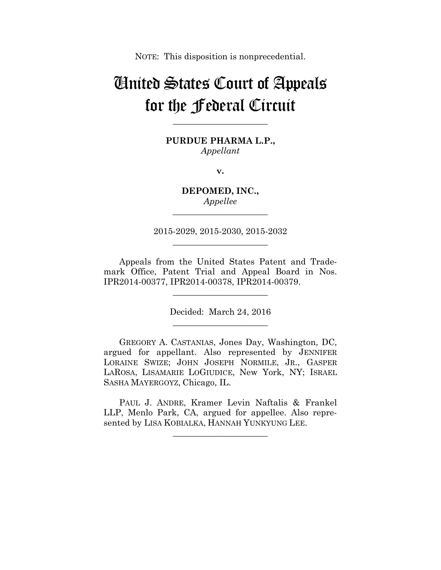NOTE: This disposition is nonprecedential.

# United States Court of Appeals for the Federal Circuit

**\_\_\_\_\_\_\_\_\_\_\_\_\_\_\_\_\_\_\_\_\_\_** 

**PURDUE PHARMA L.P.,** *Appellant*

**v.**

**DEPOMED, INC.,** *Appellee* **\_\_\_\_\_\_\_\_\_\_\_\_\_\_\_\_\_\_\_\_\_\_** 

2015-2029, 2015-2030, 2015-2032 **\_\_\_\_\_\_\_\_\_\_\_\_\_\_\_\_\_\_\_\_\_\_** 

Appeals from the United States Patent and Trademark Office, Patent Trial and Appeal Board in Nos. IPR2014-00377, IPR2014-00378, IPR2014-00379.

> Decided: March 24, 2016 **\_\_\_\_\_\_\_\_\_\_\_\_\_\_\_\_\_\_\_\_\_\_**

**\_\_\_\_\_\_\_\_\_\_\_\_\_\_\_\_\_\_\_\_\_\_** 

GREGORY A. CASTANIAS, Jones Day, Washington, DC, argued for appellant. Also represented by JENNIFER LORAINE SWIZE; JOHN JOSEPH NORMILE, JR., GASPER LAROSA, LISAMARIE LOGIUDICE, New York, NY; ISRAEL SASHA MAYERGOYZ, Chicago, IL.

PAUL J. ANDRE, Kramer Levin Naftalis & Frankel LLP, Menlo Park, CA, argued for appellee. Also represented by LISA KOBIALKA, HANNAH YUNKYUNG LEE.

**\_\_\_\_\_\_\_\_\_\_\_\_\_\_\_\_\_\_\_\_\_\_**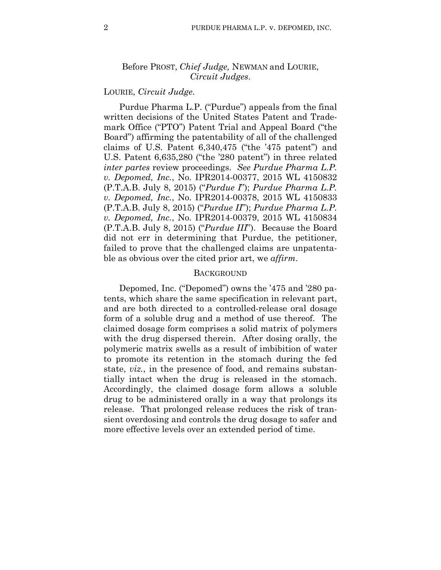## Before PROST, *Chief Judge,* NEWMAN and LOURIE, *Circuit Judges*.

## LOURIE, *Circuit Judge*.

Purdue Pharma L.P. ("Purdue") appeals from the final written decisions of the United States Patent and Trademark Office ("PTO") Patent Trial and Appeal Board ("the Board") affirming the patentability of all of the challenged claims of U.S. Patent 6,340,475 ("the '475 patent") and U.S. Patent 6,635,280 ("the '280 patent") in three related *inter partes* review proceedings. *See Purdue Pharma L.P. v. Depomed, Inc.*, No. IPR2014-00377, 2015 WL 4150832 (P.T.A.B. July 8, 2015) ("*Purdue I*"); *Purdue Pharma L.P. v. Depomed, Inc.*, No. IPR2014-00378, 2015 WL 4150833 (P.T.A.B. July 8, 2015) ("*Purdue II*"); *Purdue Pharma L.P. v. Depomed, Inc.*, No. IPR2014-00379, 2015 WL 4150834 (P.T.A.B. July 8, 2015) ("*Purdue III*"). Because the Board did not err in determining that Purdue, the petitioner, failed to prove that the challenged claims are unpatentable as obvious over the cited prior art, we *affirm*.

### **BACKGROUND**

Depomed, Inc. ("Depomed") owns the '475 and '280 patents, which share the same specification in relevant part, and are both directed to a controlled-release oral dosage form of a soluble drug and a method of use thereof. The claimed dosage form comprises a solid matrix of polymers with the drug dispersed therein. After dosing orally, the polymeric matrix swells as a result of imbibition of water to promote its retention in the stomach during the fed state, *viz.*, in the presence of food, and remains substantially intact when the drug is released in the stomach. Accordingly, the claimed dosage form allows a soluble drug to be administered orally in a way that prolongs its release. That prolonged release reduces the risk of transient overdosing and controls the drug dosage to safer and more effective levels over an extended period of time.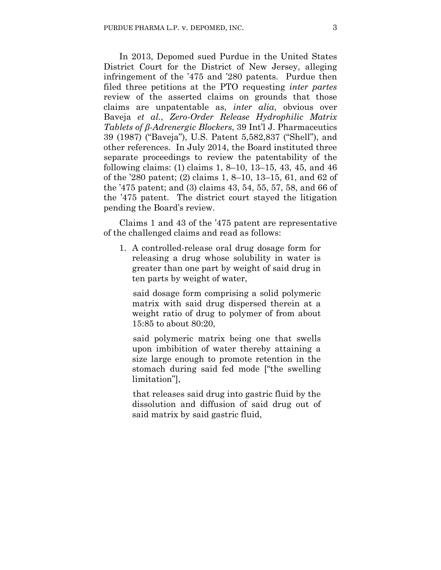In 2013, Depomed sued Purdue in the United States District Court for the District of New Jersey, alleging infringement of the '475 and '280 patents. Purdue then filed three petitions at the PTO requesting *inter partes* review of the asserted claims on grounds that those claims are unpatentable as, *inter alia*, obvious over Baveja *et al.*, *Zero-Order Release Hydrophilic Matrix Tablets of β-Adrenergic Blockers*, 39 Int'l J. Pharmaceutics 39 (1987) ("Baveja"), U.S. Patent 5,582,837 ("Shell"), and other references. In July 2014, the Board instituted three separate proceedings to review the patentability of the following claims: (1) claims 1, 8–10, 13–15, 43, 45, and 46 of the '280 patent; (2) claims 1, 8–10, 13–15, 61, and 62 of the '475 patent; and (3) claims 43, 54, 55, 57, 58, and 66 of the '475 patent. The district court stayed the litigation pending the Board's review.

Claims 1 and 43 of the '475 patent are representative of the challenged claims and read as follows:

1. A controlled-release oral drug dosage form for releasing a drug whose solubility in water is greater than one part by weight of said drug in ten parts by weight of water,

said dosage form comprising a solid polymeric matrix with said drug dispersed therein at a weight ratio of drug to polymer of from about 15:85 to about 80:20,

said polymeric matrix being one that swells upon imbibition of water thereby attaining a size large enough to promote retention in the stomach during said fed mode ["the swelling limitation"],

that releases said drug into gastric fluid by the dissolution and diffusion of said drug out of said matrix by said gastric fluid,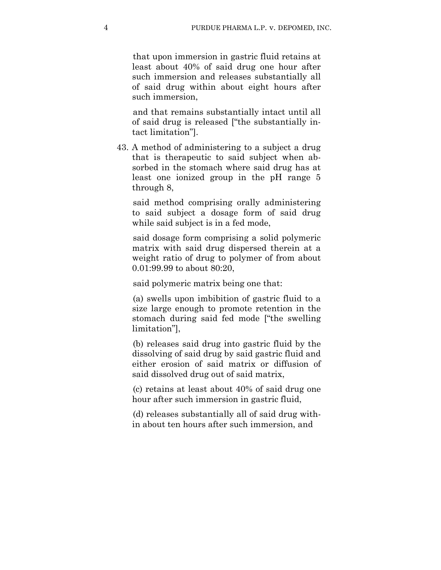that upon immersion in gastric fluid retains at least about 40% of said drug one hour after such immersion and releases substantially all of said drug within about eight hours after such immersion,

and that remains substantially intact until all of said drug is released ["the substantially intact limitation"].

43. A method of administering to a subject a drug that is therapeutic to said subject when absorbed in the stomach where said drug has at least one ionized group in the pH range 5 through 8,

said method comprising orally administering to said subject a dosage form of said drug while said subject is in a fed mode,

said dosage form comprising a solid polymeric matrix with said drug dispersed therein at a weight ratio of drug to polymer of from about 0.01:99.99 to about 80:20,

said polymeric matrix being one that:

(a) swells upon imbibition of gastric fluid to a size large enough to promote retention in the stomach during said fed mode ["the swelling limitation"],

(b) releases said drug into gastric fluid by the dissolving of said drug by said gastric fluid and either erosion of said matrix or diffusion of said dissolved drug out of said matrix,

(c) retains at least about 40% of said drug one hour after such immersion in gastric fluid,

(d) releases substantially all of said drug within about ten hours after such immersion, and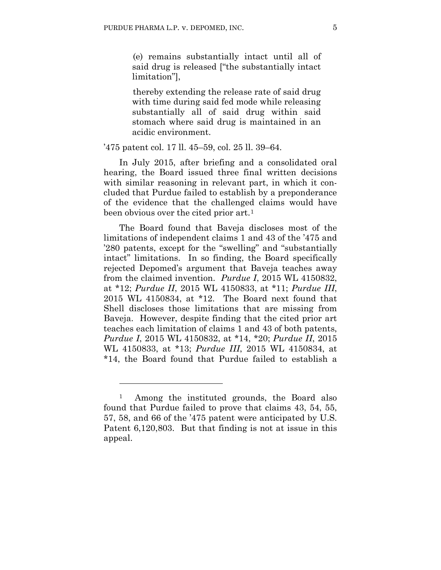(e) remains substantially intact until all of said drug is released ["the substantially intact limitation"],

thereby extending the release rate of said drug with time during said fed mode while releasing substantially all of said drug within said stomach where said drug is maintained in an acidic environment.

'475 patent col. 17 ll. 45–59, col. 25 ll. 39–64.

In July 2015, after briefing and a consolidated oral hearing, the Board issued three final written decisions with similar reasoning in relevant part, in which it concluded that Purdue failed to establish by a preponderance of the evidence that the challenged claims would have been obvious over the cited prior art.<sup>1</sup>

The Board found that Baveja discloses most of the limitations of independent claims 1 and 43 of the '475 and '280 patents, except for the "swelling" and "substantially intact" limitations. In so finding, the Board specifically rejected Depomed's argument that Baveja teaches away from the claimed invention. *Purdue I*, 2015 WL 4150832, at \*12; *Purdue II*, 2015 WL 4150833, at \*11; *Purdue III*, 2015 WL 4150834, at \*12. The Board next found that Shell discloses those limitations that are missing from Baveja. However, despite finding that the cited prior art teaches each limitation of claims 1 and 43 of both patents, *Purdue I*, 2015 WL 4150832, at \*14, \*20; *Purdue II*, 2015 WL 4150833, at \*13; *Purdue III*, 2015 WL 4150834, at \*14, the Board found that Purdue failed to establish a

1

<sup>1</sup> Among the instituted grounds, the Board also found that Purdue failed to prove that claims 43, 54, 55, 57, 58, and 66 of the '475 patent were anticipated by U.S. Patent 6,120,803. But that finding is not at issue in this appeal.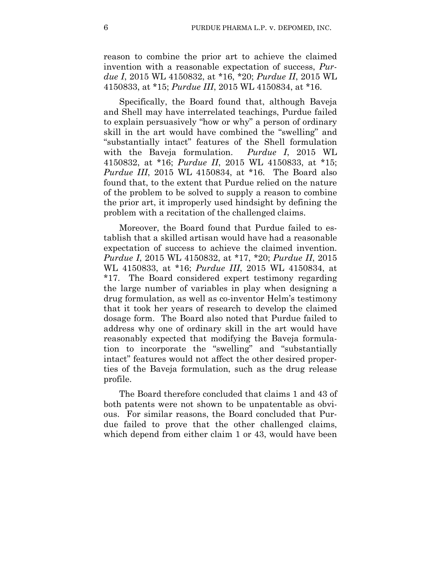reason to combine the prior art to achieve the claimed invention with a reasonable expectation of success, *Purdue I*, 2015 WL 4150832, at \*16, \*20; *Purdue II*, 2015 WL 4150833, at \*15; *Purdue III*, 2015 WL 4150834, at \*16.

Specifically, the Board found that, although Baveja and Shell may have interrelated teachings, Purdue failed to explain persuasively "how or why" a person of ordinary skill in the art would have combined the "swelling" and "substantially intact" features of the Shell formulation with the Baveja formulation. *Purdue I*, 2015 WL 4150832, at \*16; *Purdue II*, 2015 WL 4150833, at \*15; *Purdue III*, 2015 WL 4150834, at \*16. The Board also found that, to the extent that Purdue relied on the nature of the problem to be solved to supply a reason to combine the prior art, it improperly used hindsight by defining the problem with a recitation of the challenged claims.

Moreover, the Board found that Purdue failed to establish that a skilled artisan would have had a reasonable expectation of success to achieve the claimed invention. *Purdue I*, 2015 WL 4150832, at \*17, \*20; *Purdue II*, 2015 WL 4150833, at \*16; *Purdue III*, 2015 WL 4150834, at \*17. The Board considered expert testimony regarding the large number of variables in play when designing a drug formulation, as well as co-inventor Helm's testimony that it took her years of research to develop the claimed dosage form. The Board also noted that Purdue failed to address why one of ordinary skill in the art would have reasonably expected that modifying the Baveja formulation to incorporate the "swelling" and "substantially intact" features would not affect the other desired properties of the Baveja formulation, such as the drug release profile.

The Board therefore concluded that claims 1 and 43 of both patents were not shown to be unpatentable as obvious. For similar reasons, the Board concluded that Purdue failed to prove that the other challenged claims, which depend from either claim 1 or 43, would have been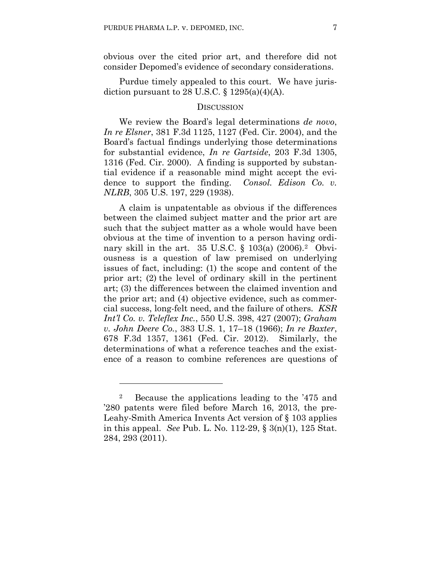obvious over the cited prior art, and therefore did not consider Depomed's evidence of secondary considerations.

Purdue timely appealed to this court. We have jurisdiction pursuant to 28 U.S.C.  $\S 1295(a)(4)(A)$ .

### **DISCUSSION**

We review the Board's legal determinations *de novo*, *In re Elsner*, 381 F.3d 1125, 1127 (Fed. Cir. 2004), and the Board's factual findings underlying those determinations for substantial evidence, *In re Gartside*, 203 F.3d 1305, 1316 (Fed. Cir. 2000). A finding is supported by substantial evidence if a reasonable mind might accept the evidence to support the finding. *Consol. Edison Co. v. NLRB*, 305 U.S. 197, 229 (1938).

A claim is unpatentable as obvious if the differences between the claimed subject matter and the prior art are such that the subject matter as a whole would have been obvious at the time of invention to a person having ordinary skill in the art. 35 U.S.C. § 103(a) (2006).2 Obviousness is a question of law premised on underlying issues of fact, including: (1) the scope and content of the prior art; (2) the level of ordinary skill in the pertinent art; (3) the differences between the claimed invention and the prior art; and (4) objective evidence, such as commercial success, long-felt need, and the failure of others. *KSR Int'l Co. v. Teleflex Inc.*, 550 U.S. 398, 427 (2007); *Graham v. John Deere Co.*, 383 U.S. 1, 17–18 (1966); *In re Baxter*, 678 F.3d 1357, 1361 (Fed. Cir. 2012). Similarly, the determinations of what a reference teaches and the existence of a reason to combine references are questions of

1

<sup>2</sup> Because the applications leading to the '475 and '280 patents were filed before March 16, 2013, the pre-Leahy-Smith America Invents Act version of § 103 applies in this appeal. *See* Pub. L. No. 112-29, § 3(n)(1), 125 Stat. 284, 293 (2011).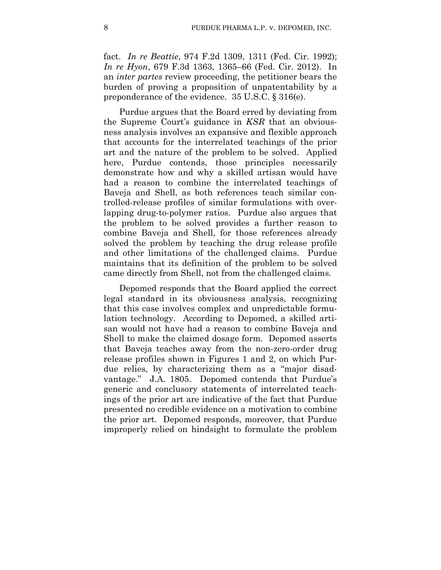fact. *In re Beattie*, 974 F.2d 1309, 1311 (Fed. Cir. 1992); *In re Hyon*, 679 F.3d 1363, 1365–66 (Fed. Cir. 2012). In an *inter partes* review proceeding, the petitioner bears the burden of proving a proposition of unpatentability by a preponderance of the evidence. 35 U.S.C. § 316(e).

Purdue argues that the Board erred by deviating from the Supreme Court's guidance in *KSR* that an obviousness analysis involves an expansive and flexible approach that accounts for the interrelated teachings of the prior art and the nature of the problem to be solved. Applied here, Purdue contends, those principles necessarily demonstrate how and why a skilled artisan would have had a reason to combine the interrelated teachings of Baveja and Shell, as both references teach similar controlled-release profiles of similar formulations with overlapping drug-to-polymer ratios. Purdue also argues that the problem to be solved provides a further reason to combine Baveja and Shell, for those references already solved the problem by teaching the drug release profile and other limitations of the challenged claims. Purdue maintains that its definition of the problem to be solved came directly from Shell, not from the challenged claims.

Depomed responds that the Board applied the correct legal standard in its obviousness analysis, recognizing that this case involves complex and unpredictable formulation technology. According to Depomed, a skilled artisan would not have had a reason to combine Baveja and Shell to make the claimed dosage form. Depomed asserts that Baveja teaches away from the non-zero-order drug release profiles shown in Figures 1 and 2, on which Purdue relies, by characterizing them as a "major disadvantage." J.A. 1805. Depomed contends that Purdue's generic and conclusory statements of interrelated teachings of the prior art are indicative of the fact that Purdue presented no credible evidence on a motivation to combine the prior art. Depomed responds, moreover, that Purdue improperly relied on hindsight to formulate the problem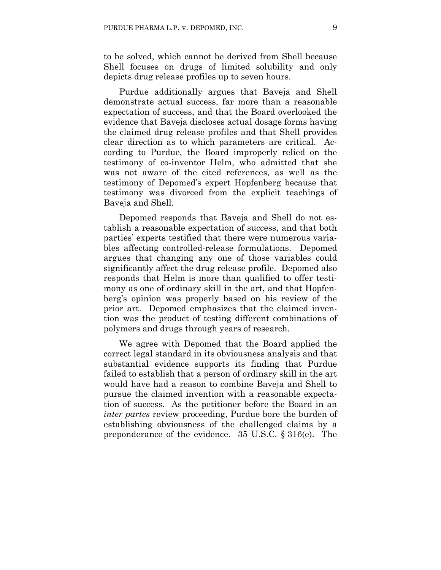to be solved, which cannot be derived from Shell because Shell focuses on drugs of limited solubility and only depicts drug release profiles up to seven hours.

Purdue additionally argues that Baveja and Shell demonstrate actual success, far more than a reasonable expectation of success, and that the Board overlooked the evidence that Baveja discloses actual dosage forms having the claimed drug release profiles and that Shell provides clear direction as to which parameters are critical. According to Purdue, the Board improperly relied on the testimony of co-inventor Helm, who admitted that she was not aware of the cited references, as well as the testimony of Depomed's expert Hopfenberg because that testimony was divorced from the explicit teachings of Baveja and Shell.

Depomed responds that Baveja and Shell do not establish a reasonable expectation of success, and that both parties' experts testified that there were numerous variables affecting controlled-release formulations. Depomed argues that changing any one of those variables could significantly affect the drug release profile. Depomed also responds that Helm is more than qualified to offer testimony as one of ordinary skill in the art, and that Hopfenberg's opinion was properly based on his review of the prior art. Depomed emphasizes that the claimed invention was the product of testing different combinations of polymers and drugs through years of research.

We agree with Depomed that the Board applied the correct legal standard in its obviousness analysis and that substantial evidence supports its finding that Purdue failed to establish that a person of ordinary skill in the art would have had a reason to combine Baveja and Shell to pursue the claimed invention with a reasonable expectation of success. As the petitioner before the Board in an *inter partes* review proceeding, Purdue bore the burden of establishing obviousness of the challenged claims by a preponderance of the evidence. 35 U.S.C. § 316(e). The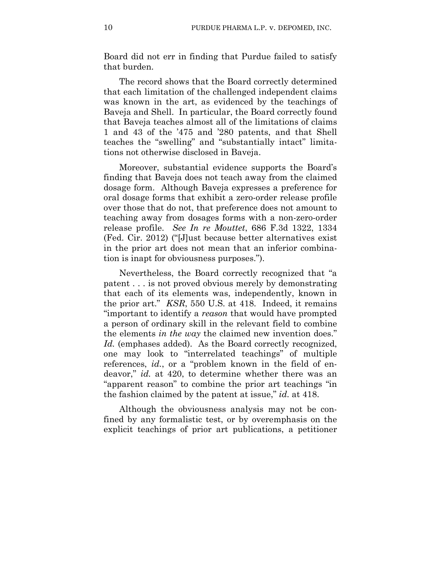Board did not err in finding that Purdue failed to satisfy that burden.

The record shows that the Board correctly determined that each limitation of the challenged independent claims was known in the art, as evidenced by the teachings of Baveja and Shell. In particular, the Board correctly found that Baveja teaches almost all of the limitations of claims 1 and 43 of the '475 and '280 patents, and that Shell teaches the "swelling" and "substantially intact" limitations not otherwise disclosed in Baveja.

Moreover, substantial evidence supports the Board's finding that Baveja does not teach away from the claimed dosage form. Although Baveja expresses a preference for oral dosage forms that exhibit a zero-order release profile over those that do not, that preference does not amount to teaching away from dosages forms with a non-zero-order release profile. *See In re Mouttet*, 686 F.3d 1322, 1334 (Fed. Cir. 2012) ("[J]ust because better alternatives exist in the prior art does not mean that an inferior combination is inapt for obviousness purposes.").

Nevertheless, the Board correctly recognized that "a patent . . . is not proved obvious merely by demonstrating that each of its elements was, independently, known in the prior art." *KSR*, 550 U.S. at 418. Indeed, it remains "important to identify a *reason* that would have prompted a person of ordinary skill in the relevant field to combine the elements *in the way* the claimed new invention does." *Id.* (emphases added). As the Board correctly recognized, one may look to "interrelated teachings" of multiple references, *id.*, or a "problem known in the field of endeavor," *id.* at 420, to determine whether there was an "apparent reason" to combine the prior art teachings "in the fashion claimed by the patent at issue," *id.* at 418.

Although the obviousness analysis may not be confined by any formalistic test, or by overemphasis on the explicit teachings of prior art publications, a petitioner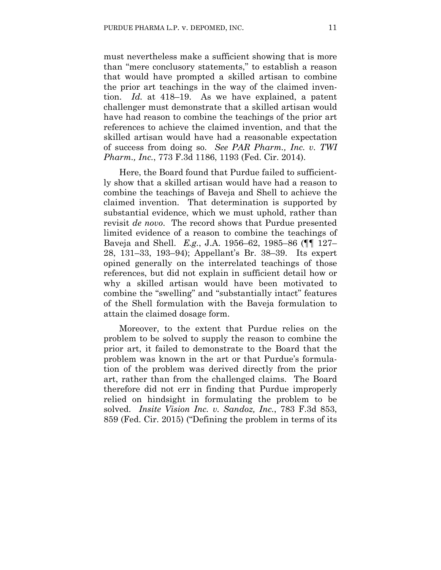must nevertheless make a sufficient showing that is more than "mere conclusory statements," to establish a reason that would have prompted a skilled artisan to combine the prior art teachings in the way of the claimed invention. *Id.* at 418–19. As we have explained, a patent challenger must demonstrate that a skilled artisan would have had reason to combine the teachings of the prior art references to achieve the claimed invention, and that the skilled artisan would have had a reasonable expectation of success from doing so. *See PAR Pharm., Inc. v. TWI Pharm., Inc.*, 773 F.3d 1186, 1193 (Fed. Cir. 2014).

Here, the Board found that Purdue failed to sufficiently show that a skilled artisan would have had a reason to combine the teachings of Baveja and Shell to achieve the claimed invention. That determination is supported by substantial evidence, which we must uphold, rather than revisit *de novo*. The record shows that Purdue presented limited evidence of a reason to combine the teachings of Baveja and Shell. *E.g.*, J.A. 1956–62, 1985–86 (¶¶ 127– 28, 131–33, 193–94); Appellant's Br. 38–39. Its expert opined generally on the interrelated teachings of those references, but did not explain in sufficient detail how or why a skilled artisan would have been motivated to combine the "swelling" and "substantially intact" features of the Shell formulation with the Baveja formulation to attain the claimed dosage form.

Moreover, to the extent that Purdue relies on the problem to be solved to supply the reason to combine the prior art, it failed to demonstrate to the Board that the problem was known in the art or that Purdue's formulation of the problem was derived directly from the prior art, rather than from the challenged claims. The Board therefore did not err in finding that Purdue improperly relied on hindsight in formulating the problem to be solved. *Insite Vision Inc. v. Sandoz, Inc.*, 783 F.3d 853, 859 (Fed. Cir. 2015) ("Defining the problem in terms of its